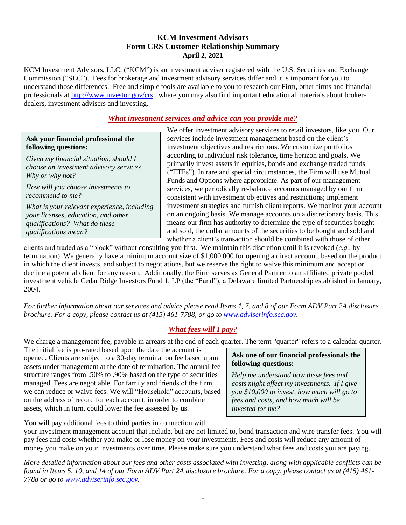### **KCM Investment Advisors Form CRS Customer Relationship Summary April 2, 2021**

KCM Investment Advisors, LLC, ("KCM") is an investment adviser registered with the U.S. Securities and Exchange Commission ("SEC"). Fees for brokerage and investment advisory services differ and it is important for you to understand those differences. Free and simple tools are available to you to research our Firm, other firms and financial professionals at<http://www.investor.gov/crs>, where you may also find important educational materials about brokerdealers, investment advisers and investing.

### *What investment services and advice can you provide me?*

#### **Ask your financial professional the following questions:**

*Given my financial situation, should I choose an investment advisory service? Why or why not?*

*How will you choose investments to recommend to me?*

*What is your relevant experience, including your licenses, education, and other qualifications? What do these qualifications mean?*

We offer investment advisory services to retail investors, like you. Our services include investment management based on the client's investment objectives and restrictions. We customize portfolios according to individual risk tolerance, time horizon and goals. We primarily invest assets in equities, bonds and exchange traded funds ("ETFs"). In rare and special circumstances, the Firm will use Mutual Funds and Options where appropriate. As part of our management services, we periodically re-balance accounts managed by our firm consistent with investment objectives and restrictions; implement investment strategies and furnish client reports. We monitor your account on an ongoing basis. We manage accounts on a discretionary basis. This means our firm has authority to determine the type of securities bought and sold, the dollar amounts of the securities to be bought and sold and whether a client's transaction should be combined with those of other

clients and traded as a "block" without consulting you first. We maintain this discretion until it is revoked (*e.g.,* by termination). We generally have a minimum account size of \$1,000,000 for opening a direct account, based on the product in which the client invests, and subject to negotiations, but we reserve the right to waive this minimum and accept or decline a potential client for any reason. Additionally, the Firm serves as General Partner to an affiliated private pooled investment vehicle Cedar Ridge Investors Fund 1, LP (the "Fund"), a Delaware limited Partnership established in January, 2004.

*For further information about our services and advice please read Items 4, 7, and 8 of our Form ADV Part 2A disclosure brochure. For a copy, please contact us at (415) 461-7788, or go to [www.adviserinfo.sec.gov.](http://www.adviserinfo.sec.gov/)* 

# *What fees will I pay?*

We charge a management fee, payable in arrears at the end of each quarter. The term "quarter" refers to a calendar quarter.

The initial fee is pro-rated based upon the date the account is opened. Clients are subject to a 30-day termination fee based upon assets under management at the date of termination. The annual fee structure ranges from .50% to .90% based on the type of securities managed. Fees are negotiable. For family and friends of the firm, we can reduce or waive fees. We will "Household" accounts, based on the address of record for each account, in order to combine assets, which in turn, could lower the fee assessed by us.

#### **Ask one of our financial professionals the following questions:**

*Help me understand how these fees and costs might affect my investments. If I give you \$10,000 to invest, how much will go to fees and costs, and how much will be invested for me?*

You will pay additional fees to third parties in connection with

your investment management account that include, but are not limited to, bond transaction and wire transfer fees. You will pay fees and costs whether you make or lose money on your investments. Fees and costs will reduce any amount of money you make on your investments over time. Please make sure you understand what fees and costs you are paying.

*More detailed information about our fees and other costs associated with investing, along with applicable conflicts can be found in Items 5, 10, and 14 of our Form ADV Part 2A disclosure brochure. For a copy, please contact us at (415) 461- 7788 or go to [www.adviserinfo.sec.gov.](http://www.adviserinfo.sec.gov/)*